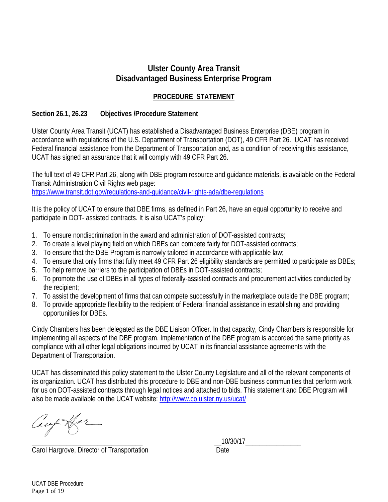# **Ulster County Area Transit Disadvantaged Business Enterprise Program**

# **PROCEDURE STATEMENT**

### **Section 26.1, 26.23 Objectives /Procedure Statement**

Ulster County Area Transit (UCAT) has established a Disadvantaged Business Enterprise (DBE) program in accordance with regulations of the U.S. Department of Transportation (DOT), 49 CFR Part 26. UCAT has received Federal financial assistance from the Department of Transportation and, as a condition of receiving this assistance, UCAT has signed an assurance that it will comply with 49 CFR Part 26.

The full text of 49 CFR Part 26, along with DBE program resource and guidance materials, is available on the Federal Transit Administration Civil Rights web page: https://www.transit.dot.gov/regulations-and-guidance/civil-rights-ada/dbe-regulations

It is the policy of UCAT to ensure that DBE firms, as defined in Part 26, have an equal opportunity to receive and participate in DOT- assisted contracts. It is also UCAT's policy:

- 1. To ensure nondiscrimination in the award and administration of DOT-assisted contracts;
- 2. To create a level playing field on which DBEs can compete fairly for DOT-assisted contracts;
- 3. To ensure that the DBE Program is narrowly tailored in accordance with applicable law;
- 4. To ensure that only firms that fully meet 49 CFR Part 26 eligibility standards are permitted to participate as DBEs;
- 5. To help remove barriers to the participation of DBEs in DOT-assisted contracts;
- 6. To promote the use of DBEs in all types of federally-assisted contracts and procurement activities conducted by the recipient;
- 7. To assist the development of firms that can compete successfully in the marketplace outside the DBE program;
- 8. To provide appropriate flexibility to the recipient of Federal financial assistance in establishing and providing opportunities for DBEs.

Cindy Chambers has been delegated as the DBE Liaison Officer. In that capacity, Cindy Chambers is responsible for implementing all aspects of the DBE program. Implementation of the DBE program is accorded the same priority as compliance with all other legal obligations incurred by UCAT in its financial assistance agreements with the Department of Transportation.

UCAT has disseminated this policy statement to the Ulster County Legislature and all of the relevant components of its organization. UCAT has distributed this procedure to DBE and non-DBE business communities that perform work for us on DOT-assisted contracts through legal notices and attached to bids. This statement and DBE Program will also be made available on the UCAT website: http://www.co.ulster.ny.us/ucat/

 $Lieff$  Har

Carol Hargrove, Director of Transportation Date

UCAT DBE Procedure Page 1 of 19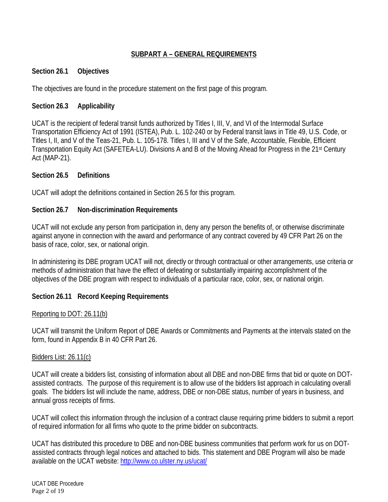# **SUBPART A – GENERAL REQUIREMENTS**

### **Section 26.1 Objectives**

The objectives are found in the procedure statement on the first page of this program.

### **Section 26.3 Applicability**

UCAT is the recipient of federal transit funds authorized by Titles I, III, V, and VI of the Intermodal Surface Transportation Efficiency Act of 1991 (ISTEA), Pub. L. 102-240 or by Federal transit laws in Title 49, U.S. Code, or Titles I, II, and V of the Teas-21, Pub. L. 105-178. Titles I, III and V of the Safe, Accountable, Flexible, Efficient Transportation Equity Act (SAFETEA-LU). Divisions A and B of the Moving Ahead for Progress in the 21st Century Act (MAP-21).

### **Section 26.5 Definitions**

UCAT will adopt the definitions contained in Section 26.5 for this program.

### **Section 26.7 Non-discrimination Requirements**

UCAT will not exclude any person from participation in, deny any person the benefits of, or otherwise discriminate against anyone in connection with the award and performance of any contract covered by 49 CFR Part 26 on the basis of race, color, sex, or national origin.

In administering its DBE program UCAT will not, directly or through contractual or other arrangements, use criteria or methods of administration that have the effect of defeating or substantially impairing accomplishment of the objectives of the DBE program with respect to individuals of a particular race, color, sex, or national origin.

# **Section 26.11 Record Keeping Requirements**

### Reporting to DOT: 26.11(b)

UCAT will transmit the Uniform Report of DBE Awards or Commitments and Payments at the intervals stated on the form, found in Appendix B in 40 CFR Part 26.

### Bidders List: 26.11(c)

UCAT will create a bidders list, consisting of information about all DBE and non-DBE firms that bid or quote on DOTassisted contracts. The purpose of this requirement is to allow use of the bidders list approach in calculating overall goals. The bidders list will include the name, address, DBE or non-DBE status, number of years in business, and annual gross receipts of firms.

UCAT will collect this information through the inclusion of a contract clause requiring prime bidders to submit a report of required information for all firms who quote to the prime bidder on subcontracts.

UCAT has distributed this procedure to DBE and non-DBE business communities that perform work for us on DOTassisted contracts through legal notices and attached to bids. This statement and DBE Program will also be made available on the UCAT website: http://www.co.ulster.ny.us/ucat/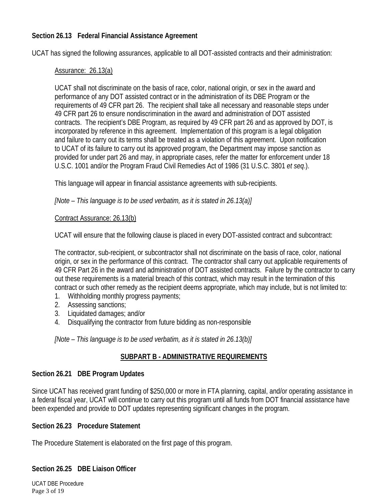### **Section 26.13 Federal Financial Assistance Agreement**

UCAT has signed the following assurances, applicable to all DOT-assisted contracts and their administration:

#### Assurance: 26.13(a)

UCAT shall not discriminate on the basis of race, color, national origin, or sex in the award and performance of any DOT assisted contract or in the administration of its DBE Program or the requirements of 49 CFR part 26. The recipient shall take all necessary and reasonable steps under 49 CFR part 26 to ensure nondiscrimination in the award and administration of DOT assisted contracts. The recipient's DBE Program, as required by 49 CFR part 26 and as approved by DOT, is incorporated by reference in this agreement. Implementation of this program is a legal obligation and failure to carry out its terms shall be treated as a violation of this agreement. Upon notification to UCAT of its failure to carry out its approved program, the Department may impose sanction as provided for under part 26 and may, in appropriate cases, refer the matter for enforcement under 18 U.S.C. 1001 and/or the Program Fraud Civil Remedies Act of 1986 (31 U.S.C. 3801 *et seq*.).

This language will appear in financial assistance agreements with sub-recipients.

*[Note – This language is to be used verbatim, as it is stated in 26.13(a)]* 

#### Contract Assurance: 26.13(b)

UCAT will ensure that the following clause is placed in every DOT-assisted contract and subcontract:

The contractor, sub-recipient, or subcontractor shall not discriminate on the basis of race, color, national origin, or sex in the performance of this contract. The contractor shall carry out applicable requirements of 49 CFR Part 26 in the award and administration of DOT assisted contracts. Failure by the contractor to carry out these requirements is a material breach of this contract, which may result in the termination of this contract or such other remedy as the recipient deems appropriate, which may include, but is not limited to:

- 1. Withholding monthly progress payments;
- 2. Assessing sanctions;
- 3. Liquidated damages; and/or
- 4. Disqualifying the contractor from future bidding as non-responsible

*[Note – This language is to be used verbatim, as it is stated in 26.13(b)]* 

### **SUBPART B - ADMINISTRATIVE REQUIREMENTS**

### **Section 26.21 DBE Program Updates**

Since UCAT has received grant funding of \$250,000 or more in FTA planning, capital, and/or operating assistance in a federal fiscal year, UCAT will continue to carry out this program until all funds from DOT financial assistance have been expended and provide to DOT updates representing significant changes in the program.

### **Section 26.23 Procedure Statement**

The Procedure Statement is elaborated on the first page of this program.

### **Section 26.25 DBE Liaison Officer**

UCAT DBE Procedure Page 3 of 19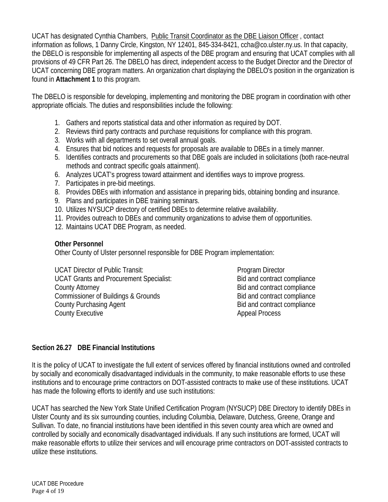UCAT has designated Cynthia Chambers, Public Transit Coordinator as the DBE Liaison Officer , contact information as follows, 1 Danny Circle, Kingston, NY 12401, 845-334-8421, ccha@co.ulster.ny.us. In that capacity, the DBELO is responsible for implementing all aspects of the DBE program and ensuring that UCAT complies with all provisions of 49 CFR Part 26. The DBELO has direct, independent access to the Budget Director and the Director of UCAT concerning DBE program matters. An organization chart displaying the DBELO's position in the organization is found in **Attachment 1** to this program.

The DBELO is responsible for developing, implementing and monitoring the DBE program in coordination with other appropriate officials. The duties and responsibilities include the following:

- 1. Gathers and reports statistical data and other information as required by DOT.
- 2. Reviews third party contracts and purchase requisitions for compliance with this program.
- 3. Works with all departments to set overall annual goals.
- 4. Ensures that bid notices and requests for proposals are available to DBEs in a timely manner.
- 5. Identifies contracts and procurements so that DBE goals are included in solicitations (both race-neutral methods and contract specific goals attainment).
- 6. Analyzes UCAT's progress toward attainment and identifies ways to improve progress.
- 7. Participates in pre-bid meetings.
- 8. Provides DBEs with information and assistance in preparing bids, obtaining bonding and insurance.
- 9. Plans and participates in DBE training seminars.
- 10. Utilizes NYSUCP directory of certified DBEs to determine relative availability.
- 11. Provides outreach to DBEs and community organizations to advise them of opportunities.
- 12. Maintains UCAT DBE Program, as needed.

### **Other Personnel**

Other County of Ulster personnel responsible for DBE Program implementation:

UCAT Director of Public Transit: Program Director UCAT Grants and Procurement Specialist: Bid and contract compliance County Attorney **Bid and contract compliance** Commissioner of Buildings & Grounds Bid and contract compliance County Purchasing Agent **Bid and contract compliance** Bid and contract compliance County Executive **Appeal Process** 

# **Section 26.27 DBE Financial Institutions**

It is the policy of UCAT to investigate the full extent of services offered by financial institutions owned and controlled by socially and economically disadvantaged individuals in the community, to make reasonable efforts to use these institutions and to encourage prime contractors on DOT-assisted contracts to make use of these institutions. UCAT has made the following efforts to identify and use such institutions:

UCAT has searched the New York State Unified Certification Program (NYSUCP) DBE Directory to identify DBEs in Ulster County and its six surrounding counties, including Columbia, Delaware, Dutchess, Greene, Orange and Sullivan. To date, no financial institutions have been identified in this seven county area which are owned and controlled by socially and economically disadvantaged individuals. If any such institutions are formed, UCAT will make reasonable efforts to utilize their services and will encourage prime contractors on DOT-assisted contracts to utilize these institutions.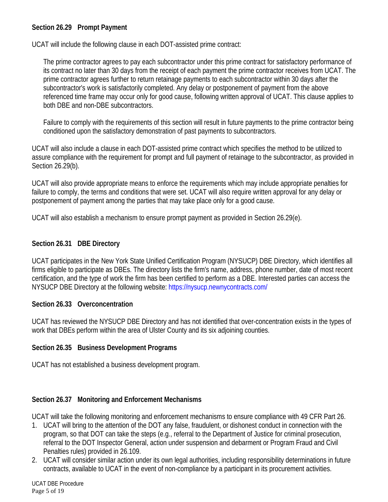# **Section 26.29 Prompt Payment**

UCAT will include the following clause in each DOT-assisted prime contract:

The prime contractor agrees to pay each subcontractor under this prime contract for satisfactory performance of its contract no later than 30 days from the receipt of each payment the prime contractor receives from UCAT. The prime contractor agrees further to return retainage payments to each subcontractor within 30 days after the subcontractor's work is satisfactorily completed. Any delay or postponement of payment from the above referenced time frame may occur only for good cause, following written approval of UCAT. This clause applies to both DBE and non-DBE subcontractors.

Failure to comply with the requirements of this section will result in future payments to the prime contractor being conditioned upon the satisfactory demonstration of past payments to subcontractors.

UCAT will also include a clause in each DOT-assisted prime contract which specifies the method to be utilized to assure compliance with the requirement for prompt and full payment of retainage to the subcontractor, as provided in Section 26.29(b).

UCAT will also provide appropriate means to enforce the requirements which may include appropriate penalties for failure to comply, the terms and conditions that were set. UCAT will also require written approval for any delay or postponement of payment among the parties that may take place only for a good cause.

UCAT will also establish a mechanism to ensure prompt payment as provided in Section 26.29(e).

### **Section 26.31 DBE Directory**

UCAT participates in the New York State Unified Certification Program (NYSUCP) DBE Directory, which identifies all firms eligible to participate as DBEs. The directory lists the firm's name, address, phone number, date of most recent certification, and the type of work the firm has been certified to perform as a DBE. Interested parties can access the NYSUCP DBE Directory at the following website: https://nysucp.newnycontracts.com/

### **Section 26.33 Overconcentration**

UCAT has reviewed the NYSUCP DBE Directory and has not identified that over-concentration exists in the types of work that DBEs perform within the area of Ulster County and its six adjoining counties.

### **Section 26.35 Business Development Programs**

UCAT has not established a business development program.

# **Section 26.37 Monitoring and Enforcement Mechanisms**

UCAT will take the following monitoring and enforcement mechanisms to ensure compliance with 49 CFR Part 26.

- 1. UCAT will bring to the attention of the DOT any false, fraudulent, or dishonest conduct in connection with the program, so that DOT can take the steps (e.g., referral to the Department of Justice for criminal prosecution, referral to the DOT Inspector General, action under suspension and debarment or Program Fraud and Civil Penalties rules) provided in 26.109.
- 2. UCAT will consider similar action under its own legal authorities, including responsibility determinations in future contracts, available to UCAT in the event of non-compliance by a participant in its procurement activities.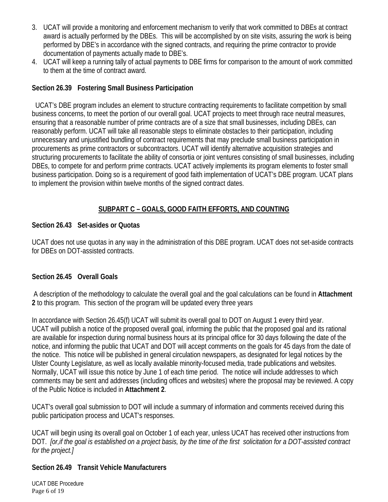- 3. UCAT will provide a monitoring and enforcement mechanism to verify that work committed to DBEs at contract award is actually performed by the DBEs. This will be accomplished by on site visits, assuring the work is being performed by DBE's in accordance with the signed contracts, and requiring the prime contractor to provide documentation of payments actually made to DBE's.
- 4. UCAT will keep a running tally of actual payments to DBE firms for comparison to the amount of work committed to them at the time of contract award.

# **Section 26.39 Fostering Small Business Participation**

UCAT's DBE program includes an element to structure contracting requirements to facilitate competition by small business concerns, to meet the portion of our overall goal. UCAT projects to meet through race neutral measures, ensuring that a reasonable number of prime contracts are of a size that small businesses, including DBEs, can reasonably perform. UCAT will take all reasonable steps to eliminate obstacles to their participation, including unnecessary and unjustified bundling of contract requirements that may preclude small business participation in procurements as prime contractors or subcontractors. UCAT will identify alternative acquisition strategies and structuring procurements to facilitate the ability of consortia or joint ventures consisting of small businesses, including DBEs, to compete for and perform prime contracts. UCAT actively implements its program elements to foster small business participation. Doing so is a requirement of good faith implementation of UCAT's DBE program. UCAT plans to implement the provision within twelve months of the signed contract dates.

# **SUBPART C – GOALS, GOOD FAITH EFFORTS, AND COUNTING**

### **Section 26.43 Set-asides or Quotas**

UCAT does not use quotas in any way in the administration of this DBE program. UCAT does not set-aside contracts for DBEs on DOT-assisted contracts.

### **Section 26.45 Overall Goals**

 A description of the methodology to calculate the overall goal and the goal calculations can be found in **Attachment 2** to this program. This section of the program will be updated every three years

In accordance with Section 26.45(f) UCAT will submit its overall goal to DOT on August 1 every third year. UCAT will publish a notice of the proposed overall goal, informing the public that the proposed goal and its rational are available for inspection during normal business hours at its principal office for 30 days following the date of the notice, and informing the public that UCAT and DOT will accept comments on the goals for 45 days from the date of the notice. This notice will be published in general circulation newspapers, as designated for legal notices by the Ulster County Legislature, as well as locally available minority-focused media, trade publications and websites. Normally, UCAT will issue this notice by June 1 of each time period. The notice will include addresses to which comments may be sent and addresses (including offices and websites) where the proposal may be reviewed. A copy of the Public Notice is included in **Attachment 2**.

UCAT's overall goal submission to DOT will include a summary of information and comments received during this public participation process and UCAT's responses.

UCAT will begin using its overall goal on October 1 of each year, unless UCAT has received other instructions from DOT. *[or,if the goal is established on a project basis, by the time of the first solicitation for a DOT-assisted contract for the project.]* 

# **Section 26.49 Transit Vehicle Manufacturers**

UCAT DBE Procedure Page 6 of 19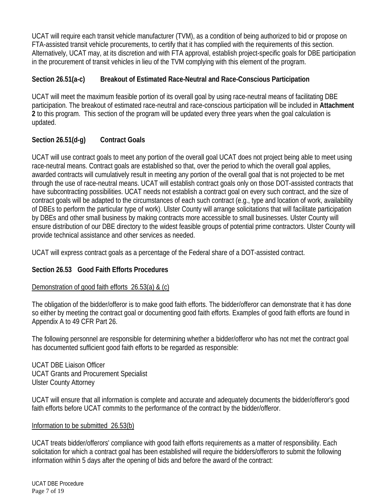UCAT will require each transit vehicle manufacturer (TVM), as a condition of being authorized to bid or propose on FTA-assisted transit vehicle procurements, to certify that it has complied with the requirements of this section. Alternatively, UCAT may, at its discretion and with FTA approval, establish project-specific goals for DBE participation in the procurement of transit vehicles in lieu of the TVM complying with this element of the program.

# **Section 26.51(a-c) Breakout of Estimated Race-Neutral and Race-Conscious Participation**

UCAT will meet the maximum feasible portion of its overall goal by using race-neutral means of facilitating DBE participation. The breakout of estimated race-neutral and race-conscious participation will be included in **Attachment 2** to this program. This section of the program will be updated every three years when the goal calculation is updated.

# **Section 26.51(d-g) Contract Goals**

UCAT will use contract goals to meet any portion of the overall goal UCAT does not project being able to meet using race-neutral means. Contract goals are established so that, over the period to which the overall goal applies, awarded contracts will cumulatively result in meeting any portion of the overall goal that is not projected to be met through the use of race-neutral means. UCAT will establish contract goals only on those DOT-assisted contracts that have subcontracting possibilities. UCAT needs not establish a contract goal on every such contract, and the size of contract goals will be adapted to the circumstances of each such contract (e.g., type and location of work, availability of DBEs to perform the particular type of work). Ulster County will arrange solicitations that will facilitate participation by DBEs and other small business by making contracts more accessible to small businesses. Ulster County will ensure distribution of our DBE directory to the widest feasible groups of potential prime contractors. Ulster County will provide technical assistance and other services as needed.

UCAT will express contract goals as a percentage of the Federal share of a DOT-assisted contract.

# **Section 26.53 Good Faith Efforts Procedures**

# Demonstration of good faith efforts 26.53(a) & (c)

The obligation of the bidder/offeror is to make good faith efforts. The bidder/offeror can demonstrate that it has done so either by meeting the contract goal or documenting good faith efforts. Examples of good faith efforts are found in Appendix A to 49 CFR Part 26.

The following personnel are responsible for determining whether a bidder/offeror who has not met the contract goal has documented sufficient good faith efforts to be regarded as responsible:

UCAT DBE Liaison Officer UCAT Grants and Procurement Specialist Ulster County Attorney

UCAT will ensure that all information is complete and accurate and adequately documents the bidder/offeror's good faith efforts before UCAT commits to the performance of the contract by the bidder/offeror.

# Information to be submitted 26.53(b)

UCAT treats bidder/offerors' compliance with good faith efforts requirements as a matter of responsibility. Each solicitation for which a contract goal has been established will require the bidders/offerors to submit the following information within 5 days after the opening of bids and before the award of the contract: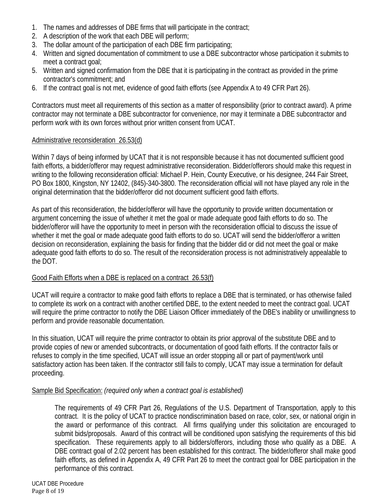- 1. The names and addresses of DBE firms that will participate in the contract;
- 2. A description of the work that each DBE will perform;
- 3. The dollar amount of the participation of each DBE firm participating;
- 4. Written and signed documentation of commitment to use a DBE subcontractor whose participation it submits to meet a contract goal;
- 5. Written and signed confirmation from the DBE that it is participating in the contract as provided in the prime contractor's commitment; and
- 6. If the contract goal is not met, evidence of good faith efforts (see Appendix A to 49 CFR Part 26).

Contractors must meet all requirements of this section as a matter of responsibility (prior to contract award). A prime contractor may not terminate a DBE subcontractor for convenience, nor may it terminate a DBE subcontractor and perform work with its own forces without prior written consent from UCAT.

### Administrative reconsideration 26.53(d)

Within 7 days of being informed by UCAT that it is not responsible because it has not documented sufficient good faith efforts, a bidder/offeror may request administrative reconsideration. Bidder/offerors should make this request in writing to the following reconsideration official: Michael P. Hein, County Executive, or his designee, 244 Fair Street, PO Box 1800, Kingston, NY 12402, (845)-340-3800. The reconsideration official will not have played any role in the original determination that the bidder/offeror did not document sufficient good faith efforts.

As part of this reconsideration, the bidder/offeror will have the opportunity to provide written documentation or argument concerning the issue of whether it met the goal or made adequate good faith efforts to do so. The bidder/offeror will have the opportunity to meet in person with the reconsideration official to discuss the issue of whether it met the goal or made adequate good faith efforts to do so. UCAT will send the bidder/offeror a written decision on reconsideration, explaining the basis for finding that the bidder did or did not meet the goal or make adequate good faith efforts to do so. The result of the reconsideration process is not administratively appealable to the DOT.

### Good Faith Efforts when a DBE is replaced on a contract 26.53(f)

UCAT will require a contractor to make good faith efforts to replace a DBE that is terminated, or has otherwise failed to complete its work on a contract with another certified DBE, to the extent needed to meet the contract goal. UCAT will require the prime contractor to notify the DBE Liaison Officer immediately of the DBE's inability or unwillingness to perform and provide reasonable documentation.

In this situation, UCAT will require the prime contractor to obtain its prior approval of the substitute DBE and to provide copies of new or amended subcontracts, or documentation of good faith efforts. If the contractor fails or refuses to comply in the time specified, UCAT will issue an order stopping all or part of payment/work until satisfactory action has been taken. If the contractor still fails to comply, UCAT may issue a termination for default proceeding.

### Sample Bid Specification: *(required only when a contract goal is established)*

The requirements of 49 CFR Part 26, Regulations of the U.S. Department of Transportation, apply to this contract. It is the policy of UCAT to practice nondiscrimination based on race, color, sex, or national origin in the award or performance of this contract. All firms qualifying under this solicitation are encouraged to submit bids/proposals. Award of this contract will be conditioned upon satisfying the requirements of this bid specification. These requirements apply to all bidders/offerors, including those who qualify as a DBE. A DBE contract goal of 2.02 percent has been established for this contract. The bidder/offeror shall make good faith efforts, as defined in Appendix A, 49 CFR Part 26 to meet the contract goal for DBE participation in the performance of this contract.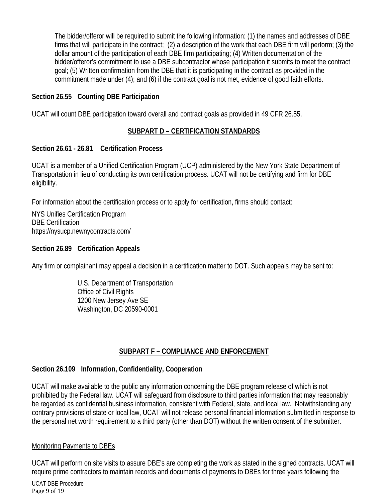The bidder/offeror will be required to submit the following information: (1) the names and addresses of DBE firms that will participate in the contract; (2) a description of the work that each DBE firm will perform; (3) the dollar amount of the participation of each DBE firm participating; (4) Written documentation of the bidder/offeror's commitment to use a DBE subcontractor whose participation it submits to meet the contract goal; (5) Written confirmation from the DBE that it is participating in the contract as provided in the commitment made under (4); and (6) if the contract goal is not met, evidence of good faith efforts.

### **Section 26.55 Counting DBE Participation**

UCAT will count DBE participation toward overall and contract goals as provided in 49 CFR 26.55.

### **SUBPART D – CERTIFICATION STANDARDS**

### **Section 26.61 - 26.81 Certification Process**

UCAT is a member of a Unified Certification Program (UCP) administered by the New York State Department of Transportation in lieu of conducting its own certification process. UCAT will not be certifying and firm for DBE eligibility.

For information about the certification process or to apply for certification, firms should contact:

NYS Unifies Certification Program DBE Certification https://nysucp.newnycontracts.com/

### **Section 26.89 Certification Appeals**

Any firm or complainant may appeal a decision in a certification matter to DOT. Such appeals may be sent to:

 U.S. Department of Transportation Office of Civil Rights 1200 New Jersey Ave SE Washington, DC 20590-0001

# **SUBPART F – COMPLIANCE AND ENFORCEMENT**

### **Section 26.109 Information, Confidentiality, Cooperation**

UCAT will make available to the public any information concerning the DBE program release of which is not prohibited by the Federal law. UCAT will safeguard from disclosure to third parties information that may reasonably be regarded as confidential business information, consistent with Federal, state, and local law. Notwithstanding any contrary provisions of state or local law, UCAT will not release personal financial information submitted in response to the personal net worth requirement to a third party (other than DOT) without the written consent of the submitter.

### Monitoring Payments to DBEs

UCAT will perform on site visits to assure DBE's are completing the work as stated in the signed contracts. UCAT will require prime contractors to maintain records and documents of payments to DBEs for three years following the

UCAT DBE Procedure Page 9 of 19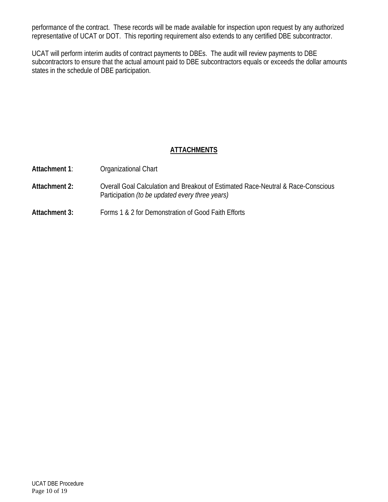performance of the contract. These records will be made available for inspection upon request by any authorized representative of UCAT or DOT. This reporting requirement also extends to any certified DBE subcontractor.

UCAT will perform interim audits of contract payments to DBEs. The audit will review payments to DBE subcontractors to ensure that the actual amount paid to DBE subcontractors equals or exceeds the dollar amounts states in the schedule of DBE participation.

# **ATTACHMENTS**

| <b>Attachment 1:</b> | Organizational Chart                                                                                                                       |
|----------------------|--------------------------------------------------------------------------------------------------------------------------------------------|
| Attachment 2:        | Overall Goal Calculation and Breakout of Estimated Race-Neutral & Race-Conscious<br>Participation <i>(to be updated every three years)</i> |
| Attachment 3:        | Forms 1 & 2 for Demonstration of Good Faith Efforts                                                                                        |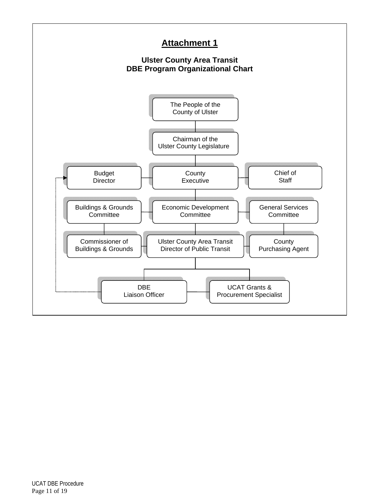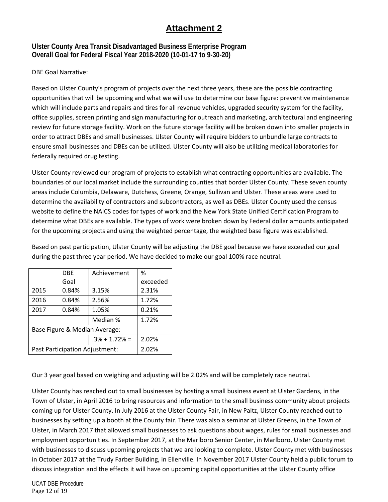# **Attachment 2**

### **Ulster County Area Transit Disadvantaged Business Enterprise Program Overall Goal for Federal Fiscal Year 2018-2020 (10-01-17 to 9-30-20)**

DBE Goal Narrative:

Based on Ulster County's program of projects over the next three years, these are the possible contracting opportunities that will be upcoming and what we will use to determine our base figure: preventive maintenance which will include parts and repairs and tires for all revenue vehicles, upgraded security system for the facility, office supplies, screen printing and sign manufacturing for outreach and marketing, architectural and engineering review for future storage facility. Work on the future storage facility will be broken down into smaller projects in order to attract DBEs and small businesses. Ulster County will require bidders to unbundle large contracts to ensure small businesses and DBEs can be utilized. Ulster County will also be utilizing medical laboratories for federally required drug testing.

Ulster County reviewed our program of projects to establish what contracting opportunities are available. The boundaries of our local market include the surrounding counties that border Ulster County. These seven county areas include Columbia, Delaware, Dutchess, Greene, Orange, Sullivan and Ulster. These areas were used to determine the availability of contractors and subcontractors, as well as DBEs. Ulster County used the census website to define the NAICS codes for types of work and the New York State Unified Certification Program to determine what DBEs are available. The types of work were broken down by Federal dollar amounts anticipated for the upcoming projects and using the weighted percentage, the weighted base figure was established.

|                                | Achievement<br><b>DBE</b> |                   | %        |
|--------------------------------|---------------------------|-------------------|----------|
|                                | Goal                      |                   | exceeded |
| 2015                           | 0.84%                     | 3.15%             | 2.31%    |
| 2016                           | 0.84%                     | 2.56%             | 1.72%    |
| 2017                           | 0.84%                     | 1.05%             | 0.21%    |
|                                |                           | Median %          | 1.72%    |
| Base Figure & Median Average:  |                           |                   |          |
|                                |                           | $.3\% + 1.72\% =$ | 2.02%    |
| Past Participation Adjustment: |                           |                   | 2.02%    |

Based on past participation, Ulster County will be adjusting the DBE goal because we have exceeded our goal during the past three year period. We have decided to make our goal 100% race neutral.

Our 3 year goal based on weighing and adjusting will be 2.02% and will be completely race neutral.

Ulster County has reached out to small businesses by hosting a small business event at Ulster Gardens, in the Town of Ulster, in April 2016 to bring resources and information to the small business community about projects coming up for Ulster County. In July 2016 at the Ulster County Fair, in New Paltz, Ulster County reached out to businesses by setting up a booth at the County fair. There was also a seminar at Ulster Greens, in the Town of Ulster, in March 2017 that allowed small businesses to ask questions about wages, rules for small businesses and employment opportunities. In September 2017, at the Marlboro Senior Center, in Marlboro, Ulster County met with businesses to discuss upcoming projects that we are looking to complete. Ulster County met with businesses in October 2017 at the Trudy Farber Building, in Ellenville. In November 2017 Ulster County held a public forum to discuss integration and the effects it will have on upcoming capital opportunities at the Ulster County office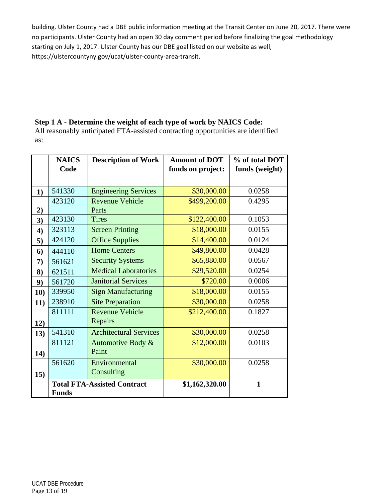building. Ulster County had a DBE public information meeting at the Transit Center on June 20, 2017. There were no participants. Ulster County had an open 30 day comment period before finalizing the goal methodology starting on July 1, 2017. Ulster County has our DBE goal listed on our website as well, https://ulstercountyny.gov/ucat/ulster‐county‐area‐transit.

# **Step 1 A - Determine the weight of each type of work by NAICS Code:**

All reasonably anticipated FTA-assisted contracting opportunities are identified as:

|     | <b>NAICS</b><br>Code | <b>Description of Work</b>         | <b>Amount of DOT</b><br>funds on project: | % of total DOT<br>funds (weight) |
|-----|----------------------|------------------------------------|-------------------------------------------|----------------------------------|
|     |                      |                                    |                                           |                                  |
| 1)  | 541330               | <b>Engineering Services</b>        | \$30,000.00                               | 0.0258                           |
|     | 423120               | <b>Revenue Vehicle</b>             | \$499,200.00                              | 0.4295                           |
| 2)  |                      | Parts                              |                                           |                                  |
| 3)  | 423130               | <b>Tires</b>                       | \$122,400.00                              | 0.1053                           |
| 4)  | 323113               | <b>Screen Printing</b>             | \$18,000.00                               | 0.0155                           |
| 5)  | 424120               | <b>Office Supplies</b>             | \$14,400.00                               | 0.0124                           |
| 6)  | 444110               | <b>Home Centers</b>                | \$49,800.00                               | 0.0428                           |
| 7)  | 561621               | <b>Security Systems</b>            | \$65,880.00                               | 0.0567                           |
| 8)  | 621511               | <b>Medical Laboratories</b>        | \$29,520.00                               | 0.0254                           |
| 9)  | 561720               | <b>Janitorial Services</b>         | \$720.00                                  | 0.0006                           |
| 10) | 339950               | <b>Sign Manufacturing</b>          | \$18,000.00                               | 0.0155                           |
| 11) | 238910               | <b>Site Preparation</b>            | \$30,000.00                               | 0.0258                           |
|     | 811111               | <b>Revenue Vehicle</b>             | \$212,400.00                              | 0.1827                           |
| 12) |                      | Repairs                            |                                           |                                  |
| 13) | 541310               | <b>Architectural Services</b>      | \$30,000.00                               | 0.0258                           |
|     | 811121               | Automotive Body &                  | \$12,000.00                               | 0.0103                           |
| 14) |                      | Paint                              |                                           |                                  |
|     | 561620               | Environmental                      | \$30,000.00                               | 0.0258                           |
| 15) |                      | Consulting                         |                                           |                                  |
|     |                      | <b>Total FTA-Assisted Contract</b> | \$1,162,320.00                            | $\mathbf{1}$                     |
|     | <b>Funds</b>         |                                    |                                           |                                  |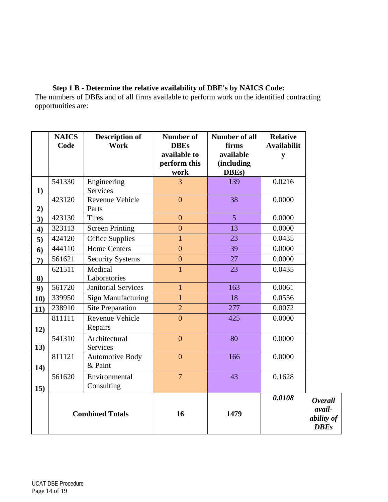**Step 1 B - Determine the relative availability of DBE's by NAICS Code:**  The numbers of DBEs and of all firms available to perform work on the identified contracting opportunities are:

|              | <b>NAICS</b><br>Code | <b>Description of</b><br>Work     | <b>Number of</b><br><b>DBEs</b><br>available to | <b>Number of all</b><br>firms<br>available | <b>Relative</b><br><b>Availabilit</b><br>y |                                                       |
|--------------|----------------------|-----------------------------------|-------------------------------------------------|--------------------------------------------|--------------------------------------------|-------------------------------------------------------|
|              |                      |                                   | perform this<br>work                            | (including<br>DBEs)                        |                                            |                                                       |
| 1)           | 541330               | Engineering<br>Services           | $\overline{3}$                                  | 139                                        | 0.0216                                     |                                                       |
| 2)           | 423120               | Revenue Vehicle<br>Parts          | $\overline{0}$                                  | 38                                         | 0.0000                                     |                                                       |
| 3)           | 423130               | <b>Tires</b>                      | $\overline{0}$                                  | 5                                          | 0.0000                                     |                                                       |
| 4)           | 323113               | <b>Screen Printing</b>            | $\overline{0}$                                  | 13                                         | 0.0000                                     |                                                       |
| 5)           | 424120               | <b>Office Supplies</b>            | $\mathbf{1}$                                    | 23                                         | 0.0435                                     |                                                       |
| 6)           | 444110               | <b>Home Centers</b>               | $\overline{0}$                                  | 39                                         | 0.0000                                     |                                                       |
| $\mathbf{7}$ | 561621               | <b>Security Systems</b>           | $\boldsymbol{0}$                                | 27                                         | 0.0000                                     |                                                       |
| 8)           | 621511               | Medical<br>Laboratories           | $\mathbf{1}$                                    | 23                                         | 0.0435                                     |                                                       |
| 9)           | 561720               | <b>Janitorial Services</b>        | $\mathbf{1}$                                    | 163                                        | 0.0061                                     |                                                       |
| 10)          | 339950               | <b>Sign Manufacturing</b>         | $\overline{1}$                                  | 18                                         | 0.0556                                     |                                                       |
| 11)          | 238910               | <b>Site Preparation</b>           | $\overline{2}$                                  | 277                                        | 0.0072                                     |                                                       |
| 12)          | 811111               | Revenue Vehicle<br>Repairs        | $\overline{0}$                                  | 425                                        | 0.0000                                     |                                                       |
| 13)          | 541310               | Architectural<br>Services         | $\overline{0}$                                  | 80                                         | 0.0000                                     |                                                       |
| 14)          | 811121               | <b>Automotive Body</b><br>& Paint | $\overline{0}$                                  | 166                                        | 0.0000                                     |                                                       |
| 15)          | 561620               | Environmental<br>Consulting       | $\overline{7}$                                  | 43                                         | 0.1628                                     |                                                       |
|              |                      | <b>Combined Totals</b>            | 16                                              | 1479                                       | 0.0108                                     | <b>Overall</b><br>avail-<br>ability of<br><b>DBEs</b> |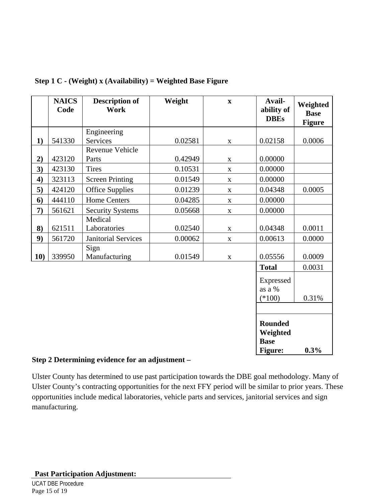|     | <b>NAICS</b><br>Code | <b>Description of</b><br>Work | Weight  | $\mathbf X$  | Avail-<br>ability of<br><b>DBEs</b>                  | Weighted<br><b>Base</b><br><b>Figure</b> |
|-----|----------------------|-------------------------------|---------|--------------|------------------------------------------------------|------------------------------------------|
|     |                      | Engineering                   |         |              |                                                      |                                          |
| 1)  | 541330               | <b>Services</b>               | 0.02581 | $\mathbf X$  | 0.02158                                              | 0.0006                                   |
|     |                      | Revenue Vehicle               |         |              |                                                      |                                          |
| 2)  | 423120               | Parts                         | 0.42949 | $\mathbf X$  | 0.00000                                              |                                          |
| 3)  | 423130               | <b>Tires</b>                  | 0.10531 | $\mathbf{X}$ | 0.00000                                              |                                          |
| 4)  | 323113               | <b>Screen Printing</b>        | 0.01549 | $\mathbf{X}$ | 0.00000                                              |                                          |
| 5)  | 424120               | <b>Office Supplies</b>        | 0.01239 | $\mathbf X$  | 0.04348                                              | 0.0005                                   |
| 6)  | 444110               | <b>Home Centers</b>           | 0.04285 | $\mathbf X$  | 0.00000                                              |                                          |
| 7)  | 561621               | <b>Security Systems</b>       | 0.05668 | $\mathbf X$  | 0.00000                                              |                                          |
|     |                      | Medical                       |         |              |                                                      |                                          |
| 8)  | 621511               | Laboratories                  | 0.02540 | $\mathbf X$  | 0.04348                                              | 0.0011                                   |
| 9)  | 561720               | <b>Janitorial Services</b>    | 0.00062 | $\mathbf X$  | 0.00613                                              | 0.0000                                   |
| 10) | 339950               | Sign<br>Manufacturing         | 0.01549 | $\mathbf X$  | 0.05556                                              | 0.0009                                   |
|     |                      |                               |         |              | <b>Total</b>                                         | 0.0031                                   |
|     |                      |                               |         |              | Expressed<br>as a %<br>$(*100)$                      | 0.31%                                    |
|     |                      |                               |         |              |                                                      |                                          |
|     |                      |                               |         |              | <b>Rounded</b><br>Weighted<br><b>Base</b><br>Figure: | 0.3%                                     |

### **Step 1 C - (Weight) x (Availability) = Weighted Base Figure**

#### **Step 2 Determining evidence for an adjustment –**

Ulster County has determined to use past participation towards the DBE goal methodology. Many of Ulster County's contracting opportunities for the next FFY period will be similar to prior years. These opportunities include medical laboratories, vehicle parts and services, janitorial services and sign manufacturing.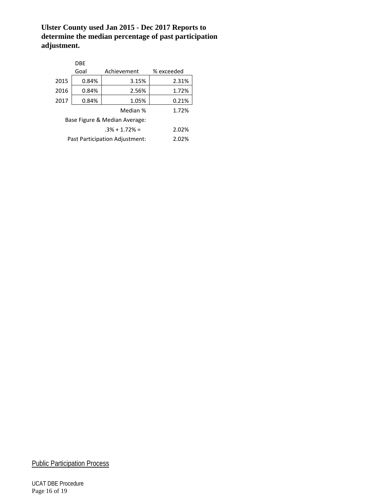### **Ulster County used Jan 2015 - Dec 2017 Reports to determine the median percentage of past participation adjustment.**

|                               | <b>DBE</b>                              |             |            |  |
|-------------------------------|-----------------------------------------|-------------|------------|--|
|                               | Goal                                    | Achievement | % exceeded |  |
| 2015                          | 0.84%                                   | 3.15%       | 2.31%      |  |
| 2016                          | 0.84%                                   | 2.56%       | 1.72%      |  |
| 2017                          | 0.84%                                   | 1.05%       | 0.21%      |  |
|                               | 1.72%                                   |             |            |  |
| Base Figure & Median Average: |                                         |             |            |  |
| $.3\% + 1.72\% =$<br>2.02%    |                                         |             |            |  |
|                               | Past Participation Adjustment:<br>2.02% |             |            |  |

**Public Participation Process** 

UCAT DBE Procedure Page 16 of 19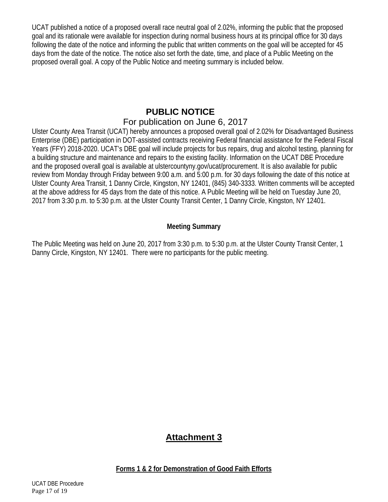UCAT published a notice of a proposed overall race neutral goal of 2.02%, informing the public that the proposed goal and its rationale were available for inspection during normal business hours at its principal office for 30 days following the date of the notice and informing the public that written comments on the goal will be accepted for 45 days from the date of the notice. The notice also set forth the date, time, and place of a Public Meeting on the proposed overall goal. A copy of the Public Notice and meeting summary is included below.

# **PUBLIC NOTICE**  For publication on June 6, 2017

Ulster County Area Transit (UCAT) hereby announces a proposed overall goal of 2.02% for Disadvantaged Business Enterprise (DBE) participation in DOT-assisted contracts receiving Federal financial assistance for the Federal Fiscal Years (FFY) 2018-2020. UCAT's DBE goal will include projects for bus repairs, drug and alcohol testing, planning for a building structure and maintenance and repairs to the existing facility. Information on the UCAT DBE Procedure and the proposed overall goal is available at ulstercountyny.gov/ucat/procurement. It is also available for public review from Monday through Friday between 9:00 a.m. and 5:00 p.m. for 30 days following the date of this notice at Ulster County Area Transit, 1 Danny Circle, Kingston, NY 12401, (845) 340-3333. Written comments will be accepted at the above address for 45 days from the date of this notice. A Public Meeting will be held on Tuesday June 20, 2017 from 3:30 p.m. to 5:30 p.m. at the Ulster County Transit Center, 1 Danny Circle, Kingston, NY 12401.

# **Meeting Summary**

The Public Meeting was held on June 20, 2017 from 3:30 p.m. to 5:30 p.m. at the Ulster County Transit Center, 1 Danny Circle, Kingston, NY 12401. There were no participants for the public meeting.

# **Attachment 3**

**Forms 1 & 2 for Demonstration of Good Faith Efforts**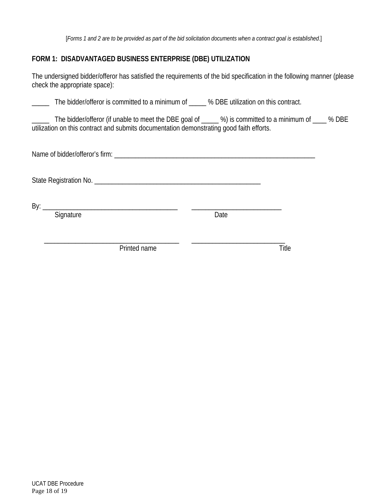[*Forms 1 and 2 are to be provided as part of the bid solicitation documents when a contract goal is established*.]

# **FORM 1: DISADVANTAGED BUSINESS ENTERPRISE (DBE) UTILIZATION**

The undersigned bidder/offeror has satisfied the requirements of the bid specification in the following manner (please check the appropriate space):

\_\_\_\_\_ The bidder/offeror is committed to a minimum of \_\_\_\_\_ % DBE utilization on this contract.

The bidder/offeror (if unable to meet the DBE goal of  $\qquad$  %) is committed to a minimum of  $\qquad$  % DBE utilization on this contract and submits documentation demonstrating good faith efforts.

Name of bidder/offeror's firm:  $\blacksquare$ 

State Registration No. \_\_\_\_\_\_\_\_\_\_\_\_\_\_\_\_\_\_\_\_\_\_\_\_\_\_\_\_\_\_\_\_\_\_\_\_\_\_\_\_\_\_\_\_\_\_\_\_

By: \_\_\_\_\_\_\_\_\_\_\_\_\_\_\_\_\_\_\_\_\_\_\_\_\_\_\_\_\_\_\_\_\_\_\_\_\_\_\_ \_\_\_\_\_\_\_\_\_\_\_\_\_\_\_\_\_\_\_\_\_\_\_\_\_\_

Signature Date

Printed name Title

 $\overline{\phantom{a}}$  , and the contribution of the contribution of the contribution of the contribution of  $\overline{\phantom{a}}$  , and  $\overline{\phantom{a}}$  , and  $\overline{\phantom{a}}$  , and  $\overline{\phantom{a}}$  , and  $\overline{\phantom{a}}$  , and  $\overline{\phantom{a}}$  , and  $\overline{\phantom{a}}$  , a